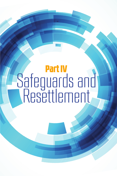# Part IV Safeguards and Resettlement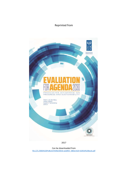## Reprinted from



2017

Can be downloaded from [file:///C:/000A%20PUBLICATIONS/IDEAS-webREV\\_08Dec%20-%20full%20book.pdf](file:///C:/000A%20PUBLICATIONS/IDEAS-webREV_08Dec%20-%20full%20book.pdf)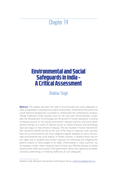## Chapter 14

## Environmental and Social Safeguards in India - A Critical Assessment

## Shekhar Singh

**Abstract.** *This chapter describes the state of environmental and social safeguards in India, as applicable to development projects and activities. A theoretical framework and a brief historical background is provided to contextualize the contemporary situation. Though traditional human activities were for the most part environmentally sustain*able, the development of technology and the growth of human population is putting *increasing pressure on the natural environment. Skewed economic and social development, perhaps as a result of selective access to natural resources and technology, have also begun to show trends of inequity. This has resulted in human interventions that sometimes benefit the few at the cost of the many. In response, most countries have set up environmental and social safeguard regimes designed to assess the possible environmental and social impacts of human activities, to disallow those that are not viable, and to establish and monitor measures for minimizing and mitigating the*  adverse impacts of those judged to be viable. Unfortunately, in many countries—as, *for example, in India—these measures have not been very effective because of vested interests both within and outside of the government, whose own objectives are better served by undermining, or rendering ineffective, all such safeguards.*

Shekhar Singh, Research, Assessment and Analysis Group, shekharsingh@gmail.com.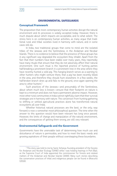

### **ENVIRONMENTAL SAFEGUARDS**

#### **Conceptual Framework**

The proposition that most contemporary human activities disrupt the natural environment and its processes is widely accepted today. However, there is much dispute about which impacts are acceptable, and to what extent. The stress here is on *contemporary* human activities, as many argue that traditional rural and tribal societies lived in harmony with nature, and in some cases still do.

In India, two traditional groups that come to mind are the isolated tribes of the Jarawas and the Sentinelese, in the Andaman and Nicobar Islands. There is no evidence to believe that the presence of these groups has in any significant way degraded the ecosystem they inhabit. Apart from the fact that their numbers have been stable over many years, they reportedly have many rituals that ensure that they do not adversely affect their natural environment. One such ritual is the reported practice of hunting parties half-breaking a prominent branch in a prominent tree in the area where they have recently hunted a wild pig. This hanging branch serves as a warning to other hunters who might venture there, that a pig has been recently killed in the area, and therefore they should hunt elsewhere. In a few weeks, the half-broken branch dries up and falls to the ground, once again opening the area to other hunters. $<sup>1</sup>$ </sup>

Such practices of the Jarawas—and presumably of the Sentinelese, about whom much less is known—ensure that their footprint on nature is kept to a minimum and does not have a permanent adverse impact. However, most other rural communities in India cannot rightfully claim that their survival strategies are in harmony with nature. The conversion from hunting-gathering to shifting or settled agricultural practices alone has transformed natural ecosystems all over India.

Whether historical natural processes are the best, or the only, way forward is now a somewhat moot philosophical question. The time when the answer to this question would have been relevant has long since passed. However, the limits of change and manipulation of the natural environment, and the consequences of getting them wrong, are still very relevant.

#### **Environmental Safeguards and the Government**

Governments have the unenviable task of determining how much use and disturbance of nature is permissible, and how to meet the basic needs and growing aspirations of their people without overstepping these boundaries.

<sup>&</sup>lt;sup>1</sup> This story was told to me by Samir Acharya, founding president of the Society for Andaman and Nicobar Ecology (SANE) while I was holding hearings in Port Blair, as the Supreme Court of India appointed the commissioner for forests and related matters of the Andaman and Nicobar Islands (2000). Many such stories describing the conservation practices of tribal and indigenous people can be found in Bharucha (2016).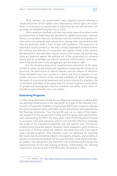Most, perhaps all, governments have adopted policies whereby a certain proportion of the nation's area, representing various types of ecosystems, is conserved in its natural state. In India, these are the national parks, set up under the Wildlife Protection Act of 1972.

Other areas are classified such that only certain types of activities can be permitted there. In India these are identified as wildlife sanctuaries, reserved forests, conservation reserves, community reserves, notified ecologically sensitive areas and wetlands, and coastal zones, among other classifications: and they are protected under a host of laws and regulations. The proportion of area that a country protects in this way is mostly dependent on three factors: the richness and diversity of ecosystems and species found in the country, the demand for land and other natural resources for human use, and the way these are balanced against the political will of the government to conserve nature and to sustainably use natural resources. Unfortunately, most countries in the world seem to be struggling to get this balance right.

For the remaining areas, most countries have restrictions on the types of land or water use permitted and regulations concerning the extraction of resources, the destruction of natural habitats, and the release of effluents. These standards vary from country to country and from ecosystem to ecosystem, and are a function of the cost and availability of "green" technology; the levels of environmental awareness and activism among the populace; the commitment and ability of the government to ensure long-term sustainability of growth and development; and the inclination and ability of the nation to transfer its environmental costs onto others.

#### **Evaluating Programs**

In 1950, the government of India set up a Planning Commission modeled after the planning infrastructure in the then-USSR. As a part of the Planning Commission, a Programme Evaluation Organisation (PEO) was created to evaluate the various programs being undertaken by the government and supported by the Planning Commission. Over the last 60 years or so, many of the important programs of the government of India and the various state governments were evaluated by the PEO.<sup>2</sup> For many years, most of the evaluations focused on economic and social outcomes, and on cost and time efficiency. Gradually the scope of the evaluations expanded and new aspects were introduced, including environmental aspects. However, these evaluations were mostly ex post facto, or at best carried out midterm, and dealt with only a few specifically selected programs. They therefore were not adequate for assessing the social and environmental impacts of programs, projects, and activities in advance of their being initiated, nor for assessing their social and environmental viability. They did perform the important role of influencing the design and implementation of new and ongoing programs. Unfortunately, the Planning Commission, and along with it the PEO, were terminated in 2014.

<sup>&</sup>lt;sup>2</sup> For details, see http://planningcommission.gov.in/reports/peoreport/index. php?repts=peobody.htm.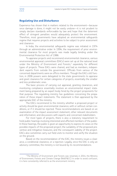

#### **Regulating Use and Disturbance**

Experience has shown that in matters related to the environment—because once damage is done, it might not be easily undone—it is not prudent to simply declare standards enforceable by law and hope that the deterrent effect of stringent penalties would adequately protect the environment. Therefore, most governments have adopted an environmental safeguards regime that requires projects and activities to be subject to prior assessment and clearance.

In India, the environmental safeguards regime was initiated in 1974 through an administrative order. In 1994, the requirement of prior environmental clearance for most projects was made legally binding under the Environmental Protection Act of 1986.

To appraise projects and recommend environmental clearance, various environmental appraisal committees (EACs) were set up at the national level under the Ministry of Environment and Forests,<sup>3</sup> separately for different types of projects. These EACs were chaired, and had as members, independent experts from outside the government. Officials from various of the concerned departments were ex officio members. Though the EACs still function, in 2006 powers were delegated to the state governments to appraise and grant clearance for certain categories of projects, essentially the smaller and less problematic ones.

The basic process of carrying out appraisal, granting clearances, and monitoring compliance essentially involves an environmental impact statement being prepared by an expert body hired by the project proponents for that purpose. The regulating ministry has guidelines concerning the preparation of these impact statements. The statement is then appraised by the appropriate EAC of the ministry.

The EACs recommend to the ministry whether a proposed project or activity should be given environmental clearance, with or without certain conditions, or if it should be rejected. These recommendations are based on an examination of the impact assessment statement; other relevant documents and information; and discussions with experts and concerned stakeholders.

For most types of projects, there is also a statutory requirement to hold public hearings involving interested and affected members of the public. In these hearings, the public is given an opportunity to express its views on the possible impacts of the proposed project; the suitability of the proposed preventive and mitigative measures; and the consequent viability of the project. EACs also sometimes carry out field visits to monitor and verify the situation on the ground.

Based on the recommendation of the EAC, the ministry issues a clearance, a conditional clearance, or a rejection. Legally, since the EAC is only an advisory committee, the ministry is not bound by its recommendations.

<sup>&</sup>lt;sup>3</sup> The Ministry of Environment and Forests was renamed, in 2014, the Ministry of Environment, Forests and Climate Change (MoEF&CC). In order to avoid confusion, it is here consistently referred to as the environment ministry.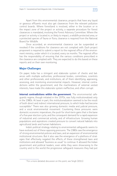

Apart from this environmental clearance, projects that have any liquid or gaseous effluents must also get clearances from the relevant pollution control boards. Where forestland is involved, either in the location or in the impact zone of the project or activity, a separate procedure for forest clearances is mandated, involving the Forest Advisory Committee. Where the project or activity is located in, or likely to impact, a wildlife protected area, or a protected species of fauna or flora, clearance is required from the National Board for Wildlife.

Once accorded, an environmental clearance can be suspended or revoked if the conditions for clearance are not complied with. Each project proponent is required to submit a report to the regional office of the environment ministry, under which it is located, every six months. The regional office has the responsibility of ensuring that the various conditions prescribed in the clearance are complied with. They are expected to do this based on these reports and on their own monitoring.

#### **Major Challenges**

On paper, India has a stringent and elaborate system of checks and balances with multiple authorities, professional bodies, committees, scientists and other professionals, and institutions, all of them identifying, appraising, assessing, and monitoring environmental impacts. However, internal contradictions within the government, and the machinations of external vested interests, have made this elaborate system ineffective, and often corrupt.

**Internal contradictions within the government.** The environmental safeguards regime, though initiated in the 1970s, was fully institutionalized only in the 1980s. At least in part, this institutionalization seemed to be the result of both direct and indirect international pressure, to which India had become susceptible.4 There was also growing domestic media and judicial pressure, and a vocal environmental movement. Countering these pressures were domestic economic imperatives, the push for short-term gains that is the bane of a five-year election cycle, and the consequent demand for a rapid expansion of industrial and commercial activity, and of infrastructure. Growing human populations and aspirations created pressure to convert natural habitats into agricultural lands and human habitations.

India's political strategy relating to environmental safeguards seems to have evolved out of these opposing pressures. The 1980s saw the emergence of strong environmental policies and laws, and an expansion of environmental institutional structures. But it also saw the emergence of a plethora of strategies that effectively negated the effects of these strengthened laws and institutions and allowed "business as usual" to continue. It allowed the Indian government and political leaders, even while they were showcasing to the country and to the world the progressive safeguard measures they had put

<sup>4</sup> For a more detailed discussion on this point, see Singh (2011).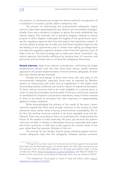

into position, to simultaneously escape the adverse political consequences of a slowdown in economic growth, albeit a temporary one.

The process of undermining the environmental safeguards regime seems to have been spearheaded by four distinct yet interrelated strategies. Initially, there was a tendency to bypass or ignore the newly established regulatory regime. This, however, led to extensive litigation relating to various projects in which litigants challenged the legality of the government, ignoring the regulatory agencies that they themselves had statutorily created.5 A second, related strategy was to make sure that these regulatory agencies did the bidding of the government, and to refrain from setting up independent and objective regulatory agencies, despite orders from the Supreme Court of India to do so.6 The third strategy was to make even these "controlled" regulatory agencies functionally ineffective by starving them of resources and personnel; and the fourth was to roll back the safeguards themselves.

**Vested interests.** Apart from internal contradictions confronting the Indian establishment, almost from the start there were various vested interests opposed to the proper implementation of environmental safeguards. At least four such interest groups emerged.

Perhaps the most benign of these were those who saw many of the environmental safeguards, especially those seen as imposed by Western nations, as unnecessary and unfair, and an impediment to the urgent need for providing shelter, livelihood, and food to millions of impoverished Indians. To them, natural resources had to be made available, on a priority basis, in order to meet the immediate survival needs of the poor, and not be diverted or earmarked for long-term conservation imperatives, many of which seemed to them to be based on principles that were unproven, or inappropriately applied to Indian conditions.

While acknowledging the primacy of the needs of the poor, conservationists argued that there were enough resources in the country to meet everyone's basic needs, while ensuring environmental sustainability. But to do this, the existing resources needed to be more equitably used and distributed. There was, according to them, no justification for compromising the future of the people of India, especially the poor, just because the government was not able, or willing, to redistribute resources, especially land, water, and forest resources, so that they could support the survival needs of the poor rather than the luxurious lifestyles of the rich.

The second, far less benign, interest group militating against environmental safeguards held that the safeguards inhibited national economic

<sup>&</sup>lt;sup>5</sup> Perhaps the two best cases from that period are those against the proposed Tehri Dam and the Narmada project. For details about the Tehri Dam controversy, see the Supreme Court of India 2003 judgment on *ND Jayal and Shekhar Singh vs Union of India and others*, https://indiankanoon.org/doc/1875824/; and Warrier (2016). For details on the controversy surrounding the Narmada dams, see, e.g., Peterson (2010).

<sup>6</sup>*T.N. Godavarman Thirumulpad vs Union of India and Others*, 2011, https:// indiankanoon.org/doc/1725193/.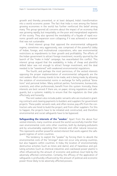

growth and thereby prevented, or at least delayed, India's transformation into a world economic power. The fact that India is now among the fastest growing economies in the world has further reinforced this belief among many. This group ignored all concerns about the impact of an economy that was growing rapidly, but inequitably, on the poor and marginalized segments of the society. They also ignored the inevitability of a façade of rapid economic growth and expansion soon collapsing, if it was achieved in a manner that was not sustainable.

A third interest group that opposed the environmental safeguards regime, sometimes very aggressively, was comprised of the powerful lobby of Indian, foreign, and multinational corporations, who saw environmental restrictions as impediments to their growth and profitability. The efforts of the Indian government to attract foreign investment, recently spurred by the launch of the "make in India" campaign, has exacerbated this conflict. This interest group argued that the availability, in India, of cheap and plentiful skilled labor was not enough to attract foreign investment, and the deal needed to be "sweetened" with weakened environmental regulations.

The fourth, and perhaps the most pernicious, of the vested interests opposing the proper implementation of environmental safeguards are the rent seekers. Much money stands to be made, and is being made, by allowing the violation of environmental norms in exchange for hefty political "donations" and personal bribes. Many political parties, functionaries, bureaucrats, scientists, and other professionals, benefit from this system. Ironically, these interests are best served if there are, on paper, strong regulations and safeguards, but a systemic inability to ensure that the regulators do their jobs effectively and honestly.

The rent seekers also include public servants who are involved in granting contracts and clearing payments to builders and suppliers for government projects. These public servants seek, and often receive, pay-offs from the contractors who are hired to build the project, and from other suppliers. For this to happen, the projects have to be initiated and constructed, and therefore environmental and social safeguards have to be bypassed.

**Safeguarding the interests of the "weaker.**" Apart from the above four vested interests, many countries around the world successfully transfer their own environmental costs onto other countries, both by dumping pollutants and by unsustainably exploiting their minerals and other natural resources. This represents another powerful vested interest that works against the safeguard regimes of victim countries.

The tendency to exploit the "weaker" by forcing them to absorb the environmental costs of the "stronger" does not occur only among countries, but also happens within countries. In India, the location of environmentally destructive activities (such as mines and dams), and of hazardous and polluting activities (such as chemical industries and coal-based power plants) is often influenced by the amount of economic and political clout held by the adversely affected communities. Certainly, the efficacy of the application of safeguards is profoundly influenced by the amount of political and economic power those likely to be adversely affected possess.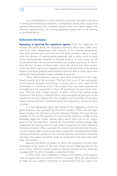

As a counterbalance to these interests and pressures, India is also host to strong environmental movements, a sympathetic media, and a supportive judiciary. Nevertheless, the combined interests that have rallied against the effective implementation of a strong regulatory regime seem to be winning, as described below.

#### **Subversive Strategies**

**Bypassing or ignoring the regulatory agency.** From the beginning, for reasons discussed above, the regulating ministries often came under pressure from other departments and ministries of the national government, from state governments, and even from the prime minister's office, to accelerate the process of environmental appraisal, and in some cases to grant undue environmental clearance to favored projects. In some cases, as will be discussed later, the concerned ministry succumbed to pressure. In others, they did not. In some of these latter cases, the central and state governments decided to ignore the regulating ministry and start work on the project before it had been granted environmental clearance and, in some cases, even before the environmental studies had been carried out.

These half-completed projects were then presented to the regulatory ministry as a fait accompli. The fact that much of the anticipated environmental damage had already occurred, and as such could not be prevented or minimized, even if the project had now been abandoned, strengthened the arguments in favor of granting it *ex post facto* clearance. The fact that a huge amount of public money had already been invested in the project created further moral and political pressure on the regulating ministry, despite the utter illegality and immorality of a project being initiated and half completed before the mandatory clearances were received.

In a few high-profile cases, the refusal of the regulatory ministry to grant clearance was overruled by the prime minister's office, and the regulatory ministry was directed to accord clearance. Perhaps the most famous example of this was the granting of environmental clearance, in 1987, to the Narmada Sagar and Sardar Sarovar dams, which were two of the largest dams on the Narmada River. Despite the environment ministry categorically stating that the projects were not yet ready for appraisal, let alone clearance, the prime minister's office overruled the ministry and directed that the projects be cleared, with a curious *pari passu* clause that mandated that studies and assessments be carried out concurrently with the construction. Following this logic, the projects would be ready for assessment only when they were fully constructed.

Many of the efforts to bypass or ignore the regulatory ministry were challenged in the courts of law and caused serious embarrassment to the government, and much adverse publicity. Perhaps because of this, there was a gradual shift to other strategies, as described below.

In 2013, there was a qualitative change in the efforts of the government to bypass the environment ministry. In January 2013, the government of India set up a Cabinet Committee on Investments (CCI) as a part of its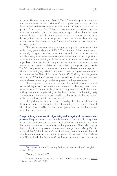proposed National Investment Board.7 The CCI was designed and empowered to intervene in instances where different approval processes, particularly those related to the environment, were thought to be impeding the economic growth of the country. The CCI had the power to review decisions taken by ministries in which projects had been refused approval, or there had been "undue" delays. It was also empowered to direct statutory authorities to discharge functions and exercise powers under the relevant laws and regulations within the prescribed time frames, for "promoting investment and economic growth."

This was widely seen as a strategy to gain political advantage in the forthcoming general elections of 2014. The mandate of this committee was essentially to bypass the environment ministry and other regulators, and to provide speedy, even almost automatic, clearances to proposed projects and activities that were pending with the ministry for more than three months, regardless of the fact that in many cases the required studies and assessments had not been completed and submitted by the project proponents. The CCI then proceeded to ensure environmental clearance to these projects without conducting any scientific appraisal, or even having access to any professional expertise (Press Information Bureau 2013). Going into the general elections of 2014, the Congress party claimed that it had granted environmental clearance to a large number of projects in the previous year.<sup>8</sup>

This was perhaps the most blatant and direct effort to bypass the environmental regulatory mechanisms and safeguards, obviously necessitated because the environment ministry was not fully compliant with the wishes of the government, despite being headed by a minister from the ruling party. It was also an unprecedented obfuscation of the responsibilities of various ministries and levels within the government.

Though there has been no other comparably blatant effort at bypassing the regulatory mechanism (and in effect dismantling it), the new government, which took office in 2014, has not shown greater concern for the environment than the previous one.

**Compromising the scientific objectivity and integrity of the assessment process.** Despite demands for an independent statutory body to appraise projects and activities, and to grant and monitor environmental clearances, this process continues to remain within the government. This is also despite the fact that in a ruling given in the case of Lafarge Umiam Mining Pvt. Ltd on July 6, 2011,<sup>9</sup> the Supreme Court of India emphasized the need for such an independent regulator. In another judgment, in the case of T.N. Godavar-

man Thirumulpad, the Supreme Court further reiterated that the central

<sup>7</sup> For details on the CCI, see http://cabsec.nic.in/writereaddata/cci/english/1\_ Upload\_989.pdf.

<sup>8</sup> See, e.g., Sharma (2013).

<sup>9</sup>*T.N. Godavarman Thirumulpad vs Union of India and Others*, 2011, https:// indiankanoon.org/doc/1725193/.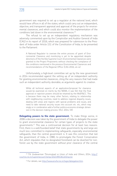

government was required to set up a regulator at the national level, which would have offices in all of the states; which could carry out an independent, objective, and transparent appraisal and approval of the projects for environmental clearances; and which could also monitor the implementation of the conditions laid down in the environmental clearances.10

The refusal to set up an independent regulatory mechanism was adversely commented upon by the Comptroller and Auditor General of India (CAG) in its report of 2016, which was prepared for submission to the President of India under Article 151 of the Constitution of India, to be presented to the Parliament:

A National Regulator to oversee the entire process of grant of Environmental Clearance and monitoring is yet to be appointed despite directions of the Hon'ble Supreme Court. Environmental Clearances were granted to the Project Proponents without checking the compliance of the conditions mentioned in the previous Environmental Clearances and recommendations of the Regional Office. (CAG 2016, viii–ix)

Unfortunately, a high-level committee set up by the new government in 2014 recommended against the setting up of an independent authority for granting environmental clearances, citing the very reasons that had made such an independent authority desirable, as arguments against its creation.

While all technical aspects of an application/proposal for clearance would be examined on merits by the NEMA, it was felt that the final approval or rejection powers should be retained by the MoEF&CC. This is because there may be many other factors, relating to relationship with neighbouring countries, need to address regional disparity issues, dealing with areas and regions with special problems and issues, and need to take national security issues into account etc. etc, which may singly or in combination add a further politico-economic-strategic dimension in the decision making process. (HLC 2014, 59)

**Delegating powers to the state government.** To make things worse, in 2006 a decision was taken by the government of India to delegate the power to grant environmental clearance for certain types of projects to the state governments.11 This was a controversial decision for at least two reasons. First, there is a well-founded belief that state governments by and large are much less committed to implementing safeguards, especially environmental safeguards, than the central government is. It was this conviction that led the government of India, in 1980, to promulgate the Forest Conservation Act, which stipulates that no designated forestland can be diverted for nonforest use by the state government without prior clearance of the central

<sup>10</sup>*T.N. Godavarman Thirumulpad vs Union of India and Others*, 2014, http:// courtnic.nic.in/supremecourt/temp/20219953612014p.txt.

<sup>&</sup>lt;sup>11</sup> For details, see http://www.envfor.nic.in/legis/delegation.htm.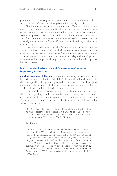

government. Statistics suggest that subsequent to the enforcement of this law, the amount of forest land being diverted drastically shrank.

There are many reasons for the seeming indifference of state governments to environmental damage. Usually the performance of the political parties that are in power in a state is judged by its ability to enhance jobs and incomes, to provide basic services, and to distribute "freebies" and concessions. Environmental conservation, primarily because of its long-term returns, is usually not a significant factor affecting the re-electability of the ruling political party.

Also, state governments usually function in a more unified manner, in which the head of the state, the chief minister, invariably exercises total power and control over all departments. There is little scope for environmental departments within a state to oppose or even delay and modify projects and activities that are politically important and that have the full support of the chief minister.

#### **Evaluating the Performance of Government-Controlled Regulatory Authorities**

**Ignoring violations of the law.** The regulating agency is mandated, under the Environmental (Protection) Act of 1986, to: "direct (a) the closure, prohibition or regulation of any industry, operation or process; or (b) stoppage or regulation of the supply of electricity or water or any other service" for any violation of the conditions of environmental clearance.

However, despite this, and despite there being numerous such violations, the regulating ministry has rarely taken action against projects and project proponents that were in violation of the conditions of clearance. The CAG, as part of its sample assessment, identified numerous violations in the two years under review:

MoEF&CC had stipulated certain specific conditions in the EC either relating to sectors or to the project which were to be followed by PPs. It was observed that the monitoring agencies were not able to ensure compliance to the EC conditions. (CAG 2016, 69)

Furthermore:

…there was shortfall of 43 to 78 per cent (with reference to compliance reports of June 2015) in submission of half yearly compliance reports. Further, it was observed in audit that most of the PPs did not submit half yearly compliance reports timely and regularly and there was delay ranging from one month to 48 months in submission of the compliance reports. We noticed that the ROs did not issue reminders regularly for submission of compliance report to PPs. Also, no action was taken by the MoEF&CC against the PPs under the provisions of the Environment Protection Act, 1986 for non-submission of compliance report by PPs. (CAG 2016, 84)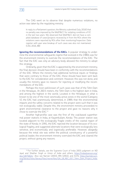

The CAG went on to observe that despite numerous violations, no action was taken by the regulating ministry.

In reply to a Parliament question, the Ministry submitted (July 2016) that no penalty was imposed by the MoEF&CC for violating conditions of EC in the last two years. We observed that MoEF&CC did not have a compiled database of cases/projects received by it from the ROs where the violations were reported by ROs after their monitoring/inspection. Data register with year wise breakup of such cases was also not maintained. (CAG 2016, 88)

**Ignoring the recommendations of the EACs.** A popular strategy to undermine the environmental safeguards regime that evolved in the 1980s was for the environment ministry to overrule the recommendations of the EAC. The fact that the EAC was only an advisory body allowed the ministry to adopt this strategy.

Ordinarily, given that the EAC is appointed by the environment ministry, the final decision should have been in conformity with the recommendations of the EAC. Where the ministry had additional technical inputs or findings that were contrary to those of the EAC, these should have been sent back to the EAC for consideration and comment. However, this was not done, and usually the ministry gave no reasons for rejecting or modifying the recommendations of the EAC.

Perhaps the most well-known of such cases was that of the Tehri Dam in the Himalayas. At 260.5 meters, the Tehri Dam is the highest dam in India, and among the highest in the world. Located in the Himalayas in what is known to be one of the most seismically active zones in the world (Category V), the EAC had unanimously determined, in 1989, that the environmental impacts and the safety concerns related to the project were such that it was not ecologically viable. Despite this, the environment ministry proceeded to grant environmental clearance to the project and gave no reasons why it chose to overrule the EAC.<sup>12</sup>

Another high-profile case was the first of the coal-based superthermal power stations in India, at Kayamkullam, Kerala. This power station was located adjacent to the ecologically fragile creeks of the coastal region of the state of Kerala. In 1991, the EAC rejected the location because of its ecological fragility, and suggested alternate locations that were ecologically less sensitive, and economically and logistically preferable. However, allegedly because the initial site was within the political constituency of a powerful political leader, the environment ministry overruled the EAC and cleared the project, without giving any reasons.

<sup>12</sup> For further details, see the Supreme Court of India 2003 judgment on *ND Jayal and Shekhar Singh vs Union of India and others*, https://indiankanoon.org/ doc/1875824/. Also see Narrain (2003), IRN (2002), and IUCN, https://portals.iucn. org/library/sites/library/files/resrecfiles/GA\_18\_REC\_057\_Tehri\_Dam\_Project\_India. pdf.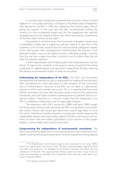

In a similar case, a proposed coal-based thermal power station located adjacent to a crocodile sanctuary in Dholpur, in the Indian state of Rajasthan, was rejected by the EAC in 1992, but cleared by the ministry, again without giving any reasons. In this case also, the EAC recommended shifting the location to a less ecologically fragile area, but the suggestion was rejected, allegedly because the original location was within the political constituency of the then chief minister of the state.<sup>13</sup>

Fortunately, in all these cases the triumvirate of people's movements, a sympathetic media, and a supportive judiciary, helped. A case filed in the Supreme Court of India ensured that the environmental safeguards related to the Tehri project were strengthened.<sup>14</sup> Unfortunately, the Supreme Court declined to take a view on the safety concerns, indicating, perhaps correctly, that this was less a legal issue than a technical one, for which they did not have the requisite expertise.

In both Kayamkullam and Dholpur, public and media pressure, and the threat of legal action, resulted in the projects being converted from being coal-based to naphtha-based and gas-based respectively, thereby reducing the adverse environmental impact on their surroundings.

**Undermining the independence of the EACs.** The EACs are functionally dominated by the chairperson, who is responsible for making all final decisions after considering the views and advice of the members of the committee, and of invited experts. Decisions in the EAC are not taken in a democratic manner, in which each member has a vote. This is in keeping with how most official committees function, with decisions made mostly by the senior-most functionary, and with other members operating more as advisers than as co– decision makers. Therefore, it is critical to ensure that the chairperson of an EAC is competent, independent, and of impeccable integrity.

The experience with EACs during the 1980s and early 1990s taught the environment ministry that overruling the EACs would attract much public and media criticism, and would give opponents a good legal basis to move the courts. Therefore, it quickly revised its strategy and started replacing the independent experts who had initially chaired the EACs, with retired civil servants, or others who were either sympathetic to the concerns of the project lobbies, or were pliable and could be pressured.

**Compromising the independence of environmental consultants.** The EACs were primarily dependent on the environmental impact statements provided to them by the project proponents. As these statements were prepared

<sup>&</sup>lt;sup>13</sup> The Kayamkulam and Dholpur projects were appraised in the early 1990s, before the web became functional in India. Therefore, documentation regarding these and other such projects is not available on the Internet. However, the author was the chairperson of the EAC that appraised both these projects and has a copy of all relevant documentation. A relatively recent publication that describes many other such cases is Chainani (2007).

<sup>&</sup>lt;sup>14</sup> For details, see Narrain (2003).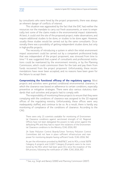

by consultants who were hired by the project proponents, there was always an inherent danger of conflicts of interest.

This situation was aggravated by the fact that the EAC had neither the resources nor the mandate to carry out fresh assessments, or even to empirically test some of the claims made in the environmental impact statements. At best, it could visit the site of the proposed project, make observations, and require additional studies to be done, or studies to be done again. However, usually these studies would be carried out by the same consultants. Occasionally there was a possibility of getting independent studies done, but only in high-profile projects.

The necessity of introducing a system in which the initial environment impact assessment could be carried out by a competent professional body that was independent of the project proponent, was stressed from time to time.<sup>15</sup> It was suggested that a panel of consultants and professional institutions could be maintained by the environment ministry, or by the Planning Commission, which could commission them for the task and pay them from funds recovered from the project proponent. Unfortunately, these recommendations have never been accepted, and no reasons have been given for the failure to accept them.

**Compromising the functional efficacy of the regulatory agency.** Most projects and activities were granted conditional environmental clearance, in which the clearance was based on adherence to certain conditions, especially preventive or mitigative strategies. There were also various statutory standards that such activities and projects had to comply with.

The responsibility of monitoring these projects to ensure that they were complying with the conditions of clearance was assigned to the 10 regional offices of the regulating ministry. Unfortunately, these offices were very inadequately staffed, and continue to be so. As a result, there is hardly any monitoring of compliance of the conditions of clearance. According to the CAG:

There were only 15 scientists available for monitoring of Environmental Clearance conditions against sanctioned strength of 41. Regional Offices have not been delegated the powers to take action against the defaulting PPs and they had to report the violations of the Environmental Clearance conditions to the Ministry. (CAG 2016, 85)

24 State Pollution Control Boards/Union Territory Pollution Control Committees did not have in place sufficient infrastructure and manpower for monitoring despite having sufficient funds. (CAG 2016, 94)

As per the information provided by MoEF&CC and its ROs, a total 9,878 Category A projects and 12,657 Category B projects were to be monitored by the ROs which had been given ECs since the inception of the EIA process, following the notification of 1994. (CAG 2016, 85).

<sup>15</sup> See, e.g., Singh and Banerji (2000) and Planning Commission (2007).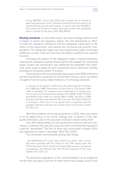As per MoEF&CC norms (July 2015) each scientist was to monitor at least five projects per month. Therefore, minimum 60 projects were to be monitored every year by each scientist…it may be seen that MoEF&CC/ ROs would not be able to monitor all projects under their jurisdiction even in a period of five years. (CAG 2016, 86-87)

**Diluting standards.** As described earlier, the initial strategy seemed to be to bypass or ignore the regulatory regime. This was followed by an effort to make the regulatory mechanism and the safeguards subservient to the whims of the government, and without any functional and scientific independence. The safeguards regime was also progressively made increasingly ineffective, so that it did not even have the ability to perform the required functions.

Essentially the dilution of the safeguards regime is being achieved by lowering the standards required; shortening the time available for conducting impact studies and assessments; and redefining the parameters that determine which projects qualify for prior assessment, and to what level, thereby excluding an increasing number of projects.

Commenting on the environmental impact assessment (EIA) notification and the amendments issued by the environment ministry, a joint committee of experts from the various Indian Institutes of Technology observed:

In exercise of the powers conferred by the Environmental Protection Act, 1986 (GoI, 1986) Government of India (GoI) on 27th January 1994 made it mandatory for expansion and modernization of existing projects to have prior environmental clearance (EC) (MoEF, 1994). Thirteen amendments were made to it during 1994 to 2005…and then, in 2006 principle notification was replaced with a new one. The initial notification is no longer in effect, but it is our opinion that in comparison with the principle notification, the new one is weak in some of the areas, at least. (IIT 2011, 15)

With the installation of the new government in 2014, there now seems to be an added focus on the fourth strategy, that of dilution of the safeguards themselves, and of the processes involved in implementing them.

Soon after taking charge, the new government set up at least two committees to examine the ways and means by which environmental regulations could be "rationali*z*ed." The first of these was constituted in August 2014, and submitted its report in November 2014 (HLC 2014).

This committee recommended, among other things:

…the identification of "no go" areas, which are in forest areas or inviolate zones—primarily with the criteria of over 70% canopy cover and "Protected Areas" which should not be disturbed except in exceptional circumstances, and that too only with the prior approval of the Union Cabinet. (HLC 2014, 11)

The disastrous implications of this recommendation can be judged by the fact that only about 3 percent of India's forests have canopy cover of over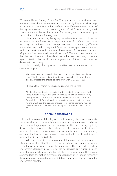70 percent (Forest Survey of India 2015). At present, all the legal forest area plus other areas that have tree cover (a total of nearly 30 percent) have legal restrictions on their diversion for nonforest uses. If the recommendations of the high-level committee are accepted, most of India's forested area, which in any case is well below the required 33 percent, would be opened up to industrial and other nonforestry uses.

Under the current regulatory regime, where forestland is allowed to be diverted for nonforest use, an equivalent area of nonforest land has to be brought under forest cover. In exceptional cases, compensatory afforestation can be permitted on degraded forestland where appropriate nonforest land is not available, and the overall forest cover of that state is at least 33 percent (the prescribed national minimum). This condition has ensured that the overall extent of forestland that either has tree cover, or has the legal protection that would allow regeneration of tree cover, does not decrease in the country.

Unfortunately, the high-level committee has recommended that this clause be dropped:

The Committee recommends that this condition that there must be at least 33% forest cover in a State before approval is given for CA on degraded forest land should be done away with. (HLC 2014, 36)

The high-level committee has also recommended that:

All the strategic border projects (border roads, fencing, Border Out Posts, floodlighting, surveillance infrastructure, power infrastructure) falling within 20 km. from the International Border, Line of Actual Control, Line of Control; and the projects in power sector and coal mining which are the growth engines for national economy may be given a fast-track treatment through special procedures. (HLC 2014, 57)

#### **SOCIAL SAFEGUARDS**

Unlike with environmental safeguards, until recently there were no social safeguards that were statutorily required for development projects and activities. For most large projects where human populations were being physically displaced, there was invariably a scheme or policy to manage the displacement and to minimi*z*e adverse consequences on the affected population. By and large, the focus of social safeguards was limited to the physical displacement of families and individuals.

When, in the mid-1970s, environmental appraisal processes were set into motion at the national level, along with various environmental parameters, human displacement was also mentioned. Therefore, while seeking environment clearance, projects also had to describe any human displacement that would take place, and lay out plans for rehabilitation. This became a precondition for getting environmental clearance, even though technically the regulation of human displacement did not come under the purview of the environment ministry.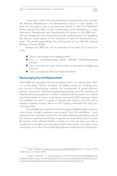

It was only in 2007 that the government of India finally came out with the National Rehabilitation and Resettlement Policy.<sup>16</sup> It took another six years for this policy to get a corresponding statute. In 2013 the Parliament finally enacted The Right to Fair Compensation and Transparency in Land Acquisition, Rehabilitation and Resettlement Act (known as the R&R law).<sup>17</sup> This law, though not very strong, does provide a statutory basis for regulating the adverse social impacts of the acquisition of land for development purposes. The overall responsibility for enforcing this act lies with the national Ministry of Social Welfare.

Perhaps any R&R law can be assessed on the basis of at least four tests:

- Does it discourage forced displacement?
- Does it comprehensively define affected families/displaced persons?
- Does it provide for a just and humane compensation package and process?
- Does it provide for effective implementation?

#### **Discouraging Forced Displacement**

India's R&R law stipulates that forced displacement can only be done when it is in the public interest. It defines the public interest as including security concerns, infrastructure projects, the resettlement of project-affected persons, housing for specified disadvantaged groups, and the resettling of disaster-affected populations. It further stipulates that the social costs should be justified based on a prior social impact assessment (SIA). However, it does not establish any norms to guide or regulate the conduct of an SIA, and it exempts irrigation projects where an EIA is being conducted from also conducting an SIA.

The law bans the acquisition of multicropped irrigated lands, except as a last resort, though it exempts linear projects from this prohibition. It also stipulates that acquisition must be for the least displacing alternative, and of the minimum required area. Private companies can acquire land only if at least 80 percent of the affected families consent to it. The law does not make it mandatory to do either an accumulative impact assessment in an area, or on a community or an SIA of the overall development model and its components.

<sup>&</sup>lt;sup>16</sup> Copy available at http://www.dolr.nic.in/NRRP2007.pdf. For a critique of the draft policy, see Singh (2006).

<sup>17</sup> Copy accessible at http://lawmin.nic.in/ld/P-ACT/2013/The%20Right%20 to%20Fair%20Compensation%20and%20Transparency%20in%20Land%20Acquisition,%20Rehabilitation%20and%20Resettlement%20Act,%202013.pdf.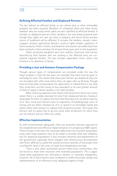

#### **Defining Affected Families and Displaced Persons**

The law defines an affected family as one whose land or other immovable property has been acquired. Members of scheduled tribes and other forest dwellers who are losing forest rights are also classified as affected families. It includes as displaced persons those residing in the area being acquired even though they might not own any land or property, and those whose primary source of livelihood will be affected. It includes the landless, tenants, sharecroppers, artisans, agricultural laborers, usufruct rights holders, gatherers of forest products, fishers, hunters, and boatmen and women–provided they have been involved in these activities for at least three years prior to the acquisition.

Adult unmarried daughters and sons, widows, divorcees, and women deserted by their families who are residing in the affected area, are considered separate families. The law includes dependent minor sisters and brothers in its definition of family.

#### **Providing a Just and Humane Compensation Package**

Though various types of compensation are provided under the law, the major problem is that the law does not mandate that land must be given in exchange for land. This means that when poor farmers are displaced, they are not provided with other land where they can again take up farming. Though they are financially compensated, the expectation, if indeed there is any, that they could then use this money to buy equivalent or an even greater amount of land of equal or better quality, is not well founded.

Bitter and long experience has shown that land prices shoot up in areas where there is a sudden demand for land from displaced farmers, making it impossible for them to replace the land that they have lost, let alone improve on it. Also, most poor farmers have no experience of handling large sums of money, and are either cheated out of it, or spend it on immediate needs and wants rather than saving it to replace their productive assets. This leaves the farmers with no option but to go into some other profession, for which they are not trained, and are often not suited.

#### **Effective Implementation**

As with environmental safeguards, there are powerful interests opposed to the establishment and effective implementation of a progressive R&R regime. These include, in the main, the corporate lobby that sees its profits being eaten away when huge expenses have to be made to provide relief and rehabilitation for displaced populations. It also includes ministries and departments of the government, especially those charged with infrastructure development, who find it difficult to justify the overall economic benefits of the project (the cost/benefit ratio), if the costs of relief and rehabilitation are high.

There is also often unresolved tension within host communities, who are forced to share their resources with resettled populations. This is aggravated when populations are relocated in distant, or culturally antagonistic, locations. All of these factors have combined to inhibit the proper design and implementation of an effective social safeguard regime in India.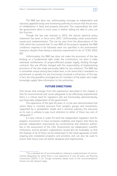

The R&R law does not, unfortunately, envisage an independent and statutory appellate body and monitoring authority to ensure that the process of rehabilitation is fairly and properly executed. This responsibility lies with the government which in most cases is neither willing nor able to carry out this function.

Though the law was enacted in 2013, the almost identical policy statement has been in force since 2007. Unfortunately, initial assessments reveal poor implementation. This can be seen from the observations of the CAG, which has surmised that "in over 80% of the projects sampled, the R&R conditions required to be followed were not specified in the environment clearance, despite there being a statutory requirement to do so" (CAG 2016, 60).

Unfortunately, the R&R law does not make the provisions of the law binding, as a fundamental right under the Constitution, nor does it make individual entitlements of project-affected people legally binding through contracts. Nor are officials charged with the responsibility of implementing provisions of the law made personally liable for any violations. The R&R law is somewhat unique among laws Indian laws, in the sense that it mandates no punishment or penalty for any functionary involved in infractions of the law: in fact, the only penalties envisaged are for members of the public who might knowingly supply false information to the authorities,

#### **FUTURE DIRECTIONS**

One lesson that emerges from the experiences described in this chapter is that for environmental and social safeguards to be effectively implemented, there is a critical need for regulators who are functionally, administratively, and financially independent of the government.

The experience of the past 40 years or so has also demonstrated that unless there is constant pressure from people's groups and movements, supported by a sympathetic media and a sensitive judiciary, the executive on its own is unlikely to pay much attention to either of these two sets of safeguards.<sup>18</sup>

It is also critical, in order for both the independent regulators and for people's movements to have increased credibility and impact, that there be periodic independent assessments by constitutional and statutory authorities in the assessment of the CAG. Assessments by independent scientific institutions, and by people's organizations would also be invaluable, so that the findings of all of these can be linked back to the initial appraisals of both ongoing and completed programs and activities, and can also be used to ensure that future ones are better designed and implemented.

 $18$  For a detailed set of recommendations relating to implementation of environmental safeguards, for which there is now experience of over 40 years, see Planning Commission (2007), 7–12. Though somewhat dated, most of the recommendations therein are still relevant today.